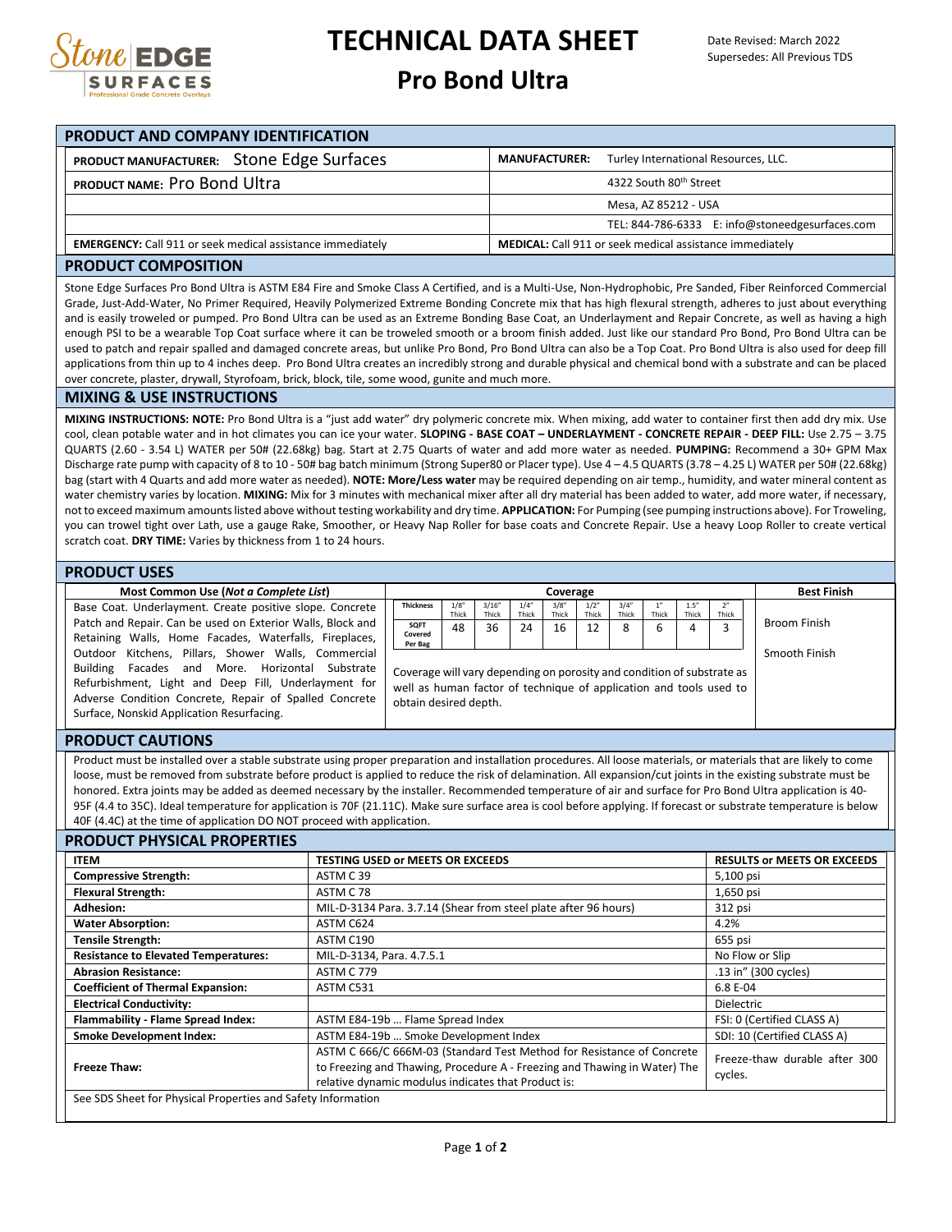

## **TECHNICAL DATA SHEET**

## **Pro Bond Ultra**

| <b>PRODUCT AND COMPANY IDENTIFICATION</b>                         |                                                              |  |  |  |  |
|-------------------------------------------------------------------|--------------------------------------------------------------|--|--|--|--|
| PRODUCT MANUFACTURER: Stone Edge Surfaces                         | Turley International Resources, LLC.<br><b>MANUFACTURER:</b> |  |  |  |  |
| PRODUCT NAME: Pro Bond Ultra                                      | 4322 South 80th Street                                       |  |  |  |  |
|                                                                   | Mesa, AZ 85212 - USA                                         |  |  |  |  |
|                                                                   | TEL: 844-786-6333 E: info@stoneedgesurfaces.com              |  |  |  |  |
| <b>EMERGENCY:</b> Call 911 or seek medical assistance immediately | MEDICAL: Call 911 or seek medical assistance immediately     |  |  |  |  |

#### **PRODUCT COMPOSITION**

Stone Edge Surfaces Pro Bond Ultra is ASTM E84 Fire and Smoke Class A Certified, and is a Multi-Use, Non-Hydrophobic, Pre Sanded, Fiber Reinforced Commercial Grade, Just-Add-Water, No Primer Required, Heavily Polymerized Extreme Bonding Concrete mix that has high flexural strength, adheres to just about everything and is easily troweled or pumped. Pro Bond Ultra can be used as an Extreme Bonding Base Coat, an Underlayment and Repair Concrete, as well as having a high enough PSI to be a wearable Top Coat surface where it can be troweled smooth or a broom finish added. Just like our standard Pro Bond, Pro Bond Ultra can be used to patch and repair spalled and damaged concrete areas, but unlike Pro Bond, Pro Bond Ultra can also be a Top Coat. Pro Bond Ultra is also used for deep fill applications from thin up to 4 inches deep. Pro Bond Ultra creates an incredibly strong and durable physical and chemical bond with a substrate and can be placed over concrete, plaster, drywall, Styrofoam, brick, block, tile, some wood, gunite and much more.

#### **MIXING & USE INSTRUCTIONS**

**MIXING INSTRUCTIONS: NOTE:** Pro Bond Ultra is a "just add water" dry polymeric concrete mix. When mixing, add water to container first then add dry mix. Use cool, clean potable water and in hot climates you can ice your water. **SLOPING - BASE COAT – UNDERLAYMENT - CONCRETE REPAIR - DEEP FILL:** Use 2.75 – 3.75 QUARTS (2.60 - 3.54 L) WATER per 50# (22.68kg) bag. Start at 2.75 Quarts of water and add more water as needed. **PUMPING:** Recommend a 30+ GPM Max Discharge rate pump with capacity of 8 to 10 - 50# bag batch minimum (Strong Super80 or Placer type). Use 4 – 4.5 QUARTS (3.78 – 4.25 L) WATER per 50# (22.68kg) bag (start with 4 Quarts and add more water as needed). **NOTE: More/Less water** may be required depending on air temp., humidity, and water mineral content as water chemistry varies by location. **MIXING:** Mix for 3 minutes with mechanical mixer after all dry material has been added to water, add more water, if necessary, not to exceed maximum amounts listed above without testing workability and dry time. **APPLICATION:** For Pumping (see pumping instructions above). For Troweling, you can trowel tight over Lath, use a gauge Rake, Smoother, or Heavy Nap Roller for base coats and Concrete Repair. Use a heavy Loop Roller to create vertical scratch coat. **DRY TIME:** Varies by thickness from 1 to 24 hours.

#### **PRODUCT USES**

Base Coat. Underlayment. Create positive slope. Concrete Patch and Repair. Can be used on Exterior Walls, Block and Retaining Walls, Home Facades, Waterfalls, Fireplaces, Outdoor Kitchens, Pillars, Shower Walls, Commercial Building Facades and More. Horizontal Substrate Refurbishment, Light and Deep Fill, Underlayment for Adverse Condition Concrete, Repair of Spalled Concrete Surface, Nonskid Application Resurfacing.

| Most Common Use (Not a Complete List)                                                                                                             | Coverage                                                                                                                                                              |               |                 |                |                | <b>Best Finish</b> |                |       |               |       |               |  |
|---------------------------------------------------------------------------------------------------------------------------------------------------|-----------------------------------------------------------------------------------------------------------------------------------------------------------------------|---------------|-----------------|----------------|----------------|--------------------|----------------|-------|---------------|-------|---------------|--|
| it. Underlayment. Create positive slope. Concrete                                                                                                 | <b>Thickness</b>                                                                                                                                                      | 1/8"<br>Thick | 3/16''<br>Thick | 1/4''<br>Thick | 3/8''<br>Thick | 1/2"<br>Thick      | 3/4''<br>Thick | Thick | 1.5'<br>Thick | Thick |               |  |
| d Repair. Can be used on Exterior Walls, Block and<br>Walls, Home Facades, Waterfalls, Fireplaces,                                                | SQFT<br>Covered                                                                                                                                                       | 48            | 36              | 24             | 16             | 12                 | 8              |       | 4             |       | Broom Finish  |  |
| Kitchens. Pillars. Shower Walls. Commercial                                                                                                       | Per Bag                                                                                                                                                               |               |                 |                |                |                    |                |       |               |       | Smooth Finish |  |
| More. Horizontal<br>Substrate<br>Facades<br>and<br>iment, Light and Deep Fill, Underlayment for<br>Condition Concrete, Repair of Spalled Concrete | Coverage will vary depending on porosity and condition of substrate as<br>well as human factor of technique of application and tools used to<br>obtain desired depth. |               |                 |                |                |                    |                |       |               |       |               |  |

**PRODUCT CAUTIONS**

Product must be installed over a stable substrate using proper preparation and installation procedures. All loose materials, or materials that are likely to come loose, must be removed from substrate before product is applied to reduce the risk of delamination. All expansion/cut joints in the existing substrate must be honored. Extra joints may be added as deemed necessary by the installer. Recommended temperature of air and surface for Pro Bond Ultra application is 40- 95F (4.4 to 35C). Ideal temperature for application is 70F (21.11C). Make sure surface area is cool before applying. If forecast or substrate temperature is below 40F (4.4C) at the time of application DO NOT proceed with application.

#### **PRODUCT PHYSICAL PROPERTIES**

| <b>ITEM</b>                                                                                                                                                                                                               | <b>TESTING USED or MEETS OR EXCEEDS</b>                         | <b>RESULTS OF MEETS OR EXCEEDS</b>       |  |  |
|---------------------------------------------------------------------------------------------------------------------------------------------------------------------------------------------------------------------------|-----------------------------------------------------------------|------------------------------------------|--|--|
| <b>Compressive Strength:</b>                                                                                                                                                                                              | ASTM C39                                                        | 5,100 psi                                |  |  |
| <b>Flexural Strength:</b>                                                                                                                                                                                                 | ASTM C 78                                                       | 1,650 psi                                |  |  |
| <b>Adhesion:</b>                                                                                                                                                                                                          | MIL-D-3134 Para. 3.7.14 (Shear from steel plate after 96 hours) | 312 psi                                  |  |  |
| <b>Water Absorption:</b>                                                                                                                                                                                                  | ASTM C624                                                       | 4.2%                                     |  |  |
| <b>Tensile Strength:</b>                                                                                                                                                                                                  | ASTM C190                                                       | 655 psi                                  |  |  |
| <b>Resistance to Elevated Temperatures:</b>                                                                                                                                                                               | MIL-D-3134, Para. 4.7.5.1                                       | No Flow or Slip                          |  |  |
| <b>Abrasion Resistance:</b>                                                                                                                                                                                               | <b>ASTM C 779</b>                                               | .13 in" (300 cycles)                     |  |  |
| <b>Coefficient of Thermal Expansion:</b>                                                                                                                                                                                  | ASTM C531                                                       | 6.8 E-04                                 |  |  |
| <b>Electrical Conductivity:</b>                                                                                                                                                                                           |                                                                 | <b>Dielectric</b>                        |  |  |
| Flammability - Flame Spread Index:                                                                                                                                                                                        | ASTM E84-19b  Flame Spread Index                                | FSI: 0 (Certified CLASS A)               |  |  |
| <b>Smoke Development Index:</b>                                                                                                                                                                                           | ASTM E84-19b  Smoke Development Index                           | SDI: 10 (Certified CLASS A)              |  |  |
| ASTM C 666/C 666M-03 (Standard Test Method for Resistance of Concrete<br>to Freezing and Thawing, Procedure A - Freezing and Thawing in Water) The<br>Freeze Thaw:<br>relative dynamic modulus indicates that Product is: |                                                                 | Freeze-thaw durable after 300<br>cycles. |  |  |
| See SDS Sheet for Physical Properties and Safety Information                                                                                                                                                              |                                                                 |                                          |  |  |

Page **1** of **2**